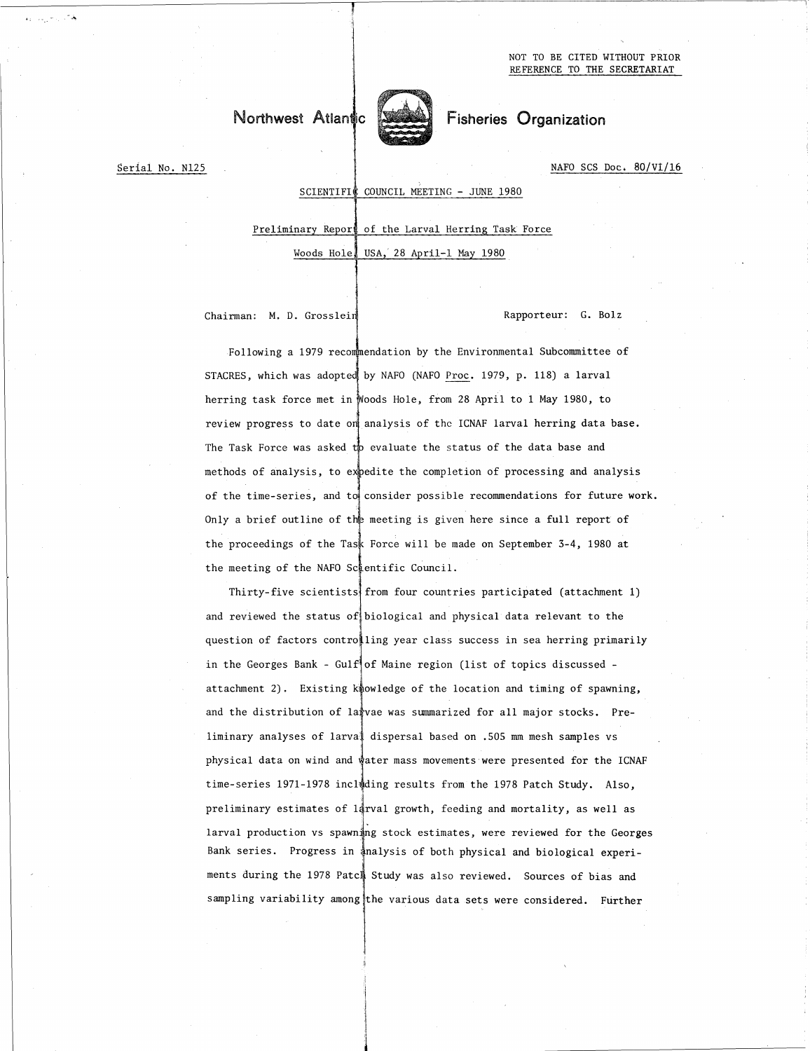# Northwest Atlantic **Fisheries** Organization



Serial No. N125 NAFO SCS Doc. 80/VI/16

SCIENTIFIC COUNCIL MEETING - JUNE 1980

Preliminary Report of the Larval Herring Task Force

Woods Hole, USA, 28 April-1 May 1980

Chairman: M. D. Grosslein Rapporteur: G. Bolz

Following a 1979 recommendation by the Environmental Subcommittee of STACRES, which was adopted by NAFO (NAFO Proc. 1979, p. 118) a larval herring task force met in Woods Hole, from 28 April to 1 May 1980, to review progress to date on analysis of the ICNAF larval herring data base. The Task Force was asked to evaluate the status of the data base and methods of analysis, to expedite the completion of processing and analysis of the time-series, and to consider possible recommendations for future work. Only a brief outline of the meeting is given here since a full report of the proceedings of the Task Force will be made on September 3-4, 1980 at the meeting of the NAFO Scientific Council.

Thirty-five scientists from four countries participated (attachment 1) and reviewed the status of biological and physical data relevant to the question of factors controlling year class success in sea herring primarily in the Georges Bank - Gulf of Maine region (list of topics discussed attachment 2). Existing  $k^*$  and  $k^*$  and  $k^*$  and  $k^*$  is and  $k^*$  is a spawning, and the distribution of larvae was summarized for all major stocks. Preliminary analyses of larval dispersal based on .505 mm mesh samples vs physical data on wind and water mass movements were presented for the ICNAF time-series 1971-1978 including results from the 1978 Patch Study. Also, preliminary estimates of larval growth, feeding and mortality, as well as larval production vs spawning stock estimates, were reviewed for the Georges Bank series. Progress in analysis of both physical and biological experiments during the 1978 Patch Study was also reviewed. Sources of bias and sampling variability among the various data sets were considered. Further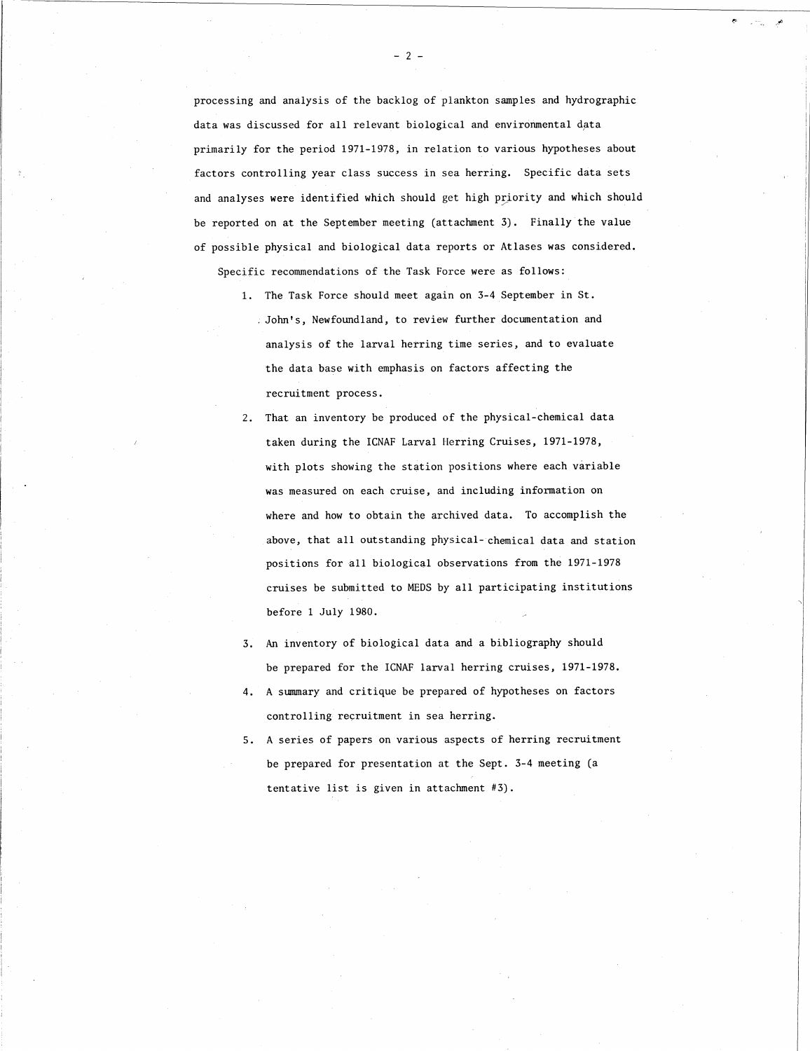processing and analysis of the backlog of plankton samples and hydrographic data was discussed for all relevant biological and environmental data primarily for the period 1971-1978, in relation to various hypotheses about factors controlling year class success in sea herring. Specific data sets and analyses were identified which should get high priority and which should be reported on at the September meeting (attachment 3). Finally the value of possible physical and biological data reports or Atlases was considered.

Specific recommendations of the Task Force were as follows:

- 1. The Task Force should meet again on 3-4 September in St. —John's, Newfoundland, to review further documentation and analysis of the larval herring time series, and to evaluate the data base with emphasis on factors affecting the recruitment process.
- 2. That an inventory be produced of the physical-chemical data taken during the ICNAF Larval Herring Cruises, 1971-1978, with plots showing the station positions where each variable was measured on each cruise, and including information on where and how to obtain the archived data. To accomplish the above, that all outstanding physical- chemical data and station positions for all biological observations from the 1971-1978 cruises be submitted to MEDS by all participating institutions before 1 July 1980.
- An inventory of biological data and a bibliography should be prepared for the ICNAF larval herring cruises, 1971-1978.
- A summary and critique be prepared of hypotheses on factors controlling recruitment in sea herring.
- 5. A series of papers on various aspects of herring recruitment be prepared for presentation at the Sept. 3-4 meeting (a tentative list is given in attachment #3).

 $- 2 -$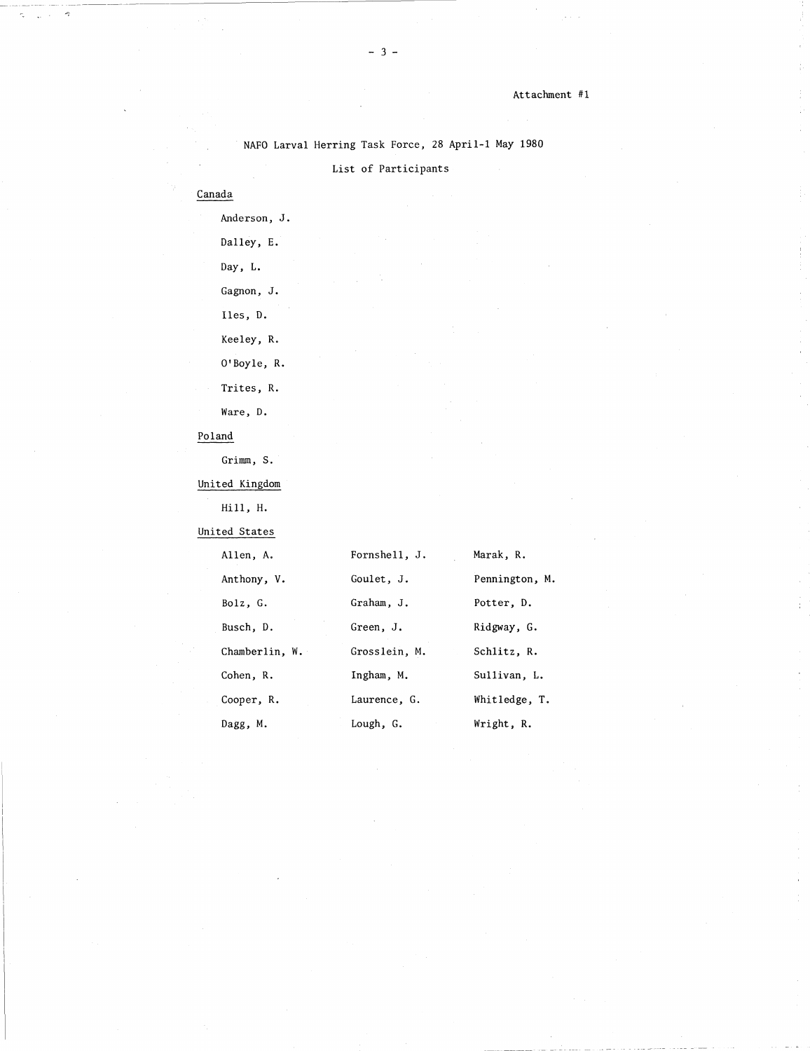|                | NAFO Larval Herring Task Force, 28 April-1 May 1980 |                |
|----------------|-----------------------------------------------------|----------------|
|                | List of Participants                                |                |
| Canada         |                                                     |                |
| Anderson, J.   |                                                     |                |
| Dalley, E.     |                                                     |                |
| Day, L.        |                                                     |                |
| Gagnon, J.     |                                                     |                |
| Iles, D.       |                                                     |                |
| Keeley, R.     |                                                     |                |
| O'Boyle, R.    |                                                     |                |
| Trites, R.     |                                                     |                |
| Ware, D.       |                                                     |                |
| Poland         |                                                     |                |
| Grimm, S.      |                                                     |                |
| United Kingdom |                                                     |                |
| Hill, H.       |                                                     |                |
| United States  |                                                     |                |
| Allen, A.      | Fornshell, J.                                       | Marak, R.      |
| Anthony, V.    | Goulet, J.                                          | Pennington, M. |
| Bolz, G.       | Graham, J.                                          | Potter, D.     |
| Busch, D.      | Green, J.                                           | Ridgway, G.    |
| Chamberlin, W. | Grosslein, M.                                       | Schlitz, R.    |
| Cohen, R.      | Ingham, M.                                          | Sullivan, L.   |
| Cooper, R.     | Laurence, G.                                        | Whitledge, T.  |
| Dagg, M.       | Lough, G.                                           | Wright, R.     |
|                |                                                     |                |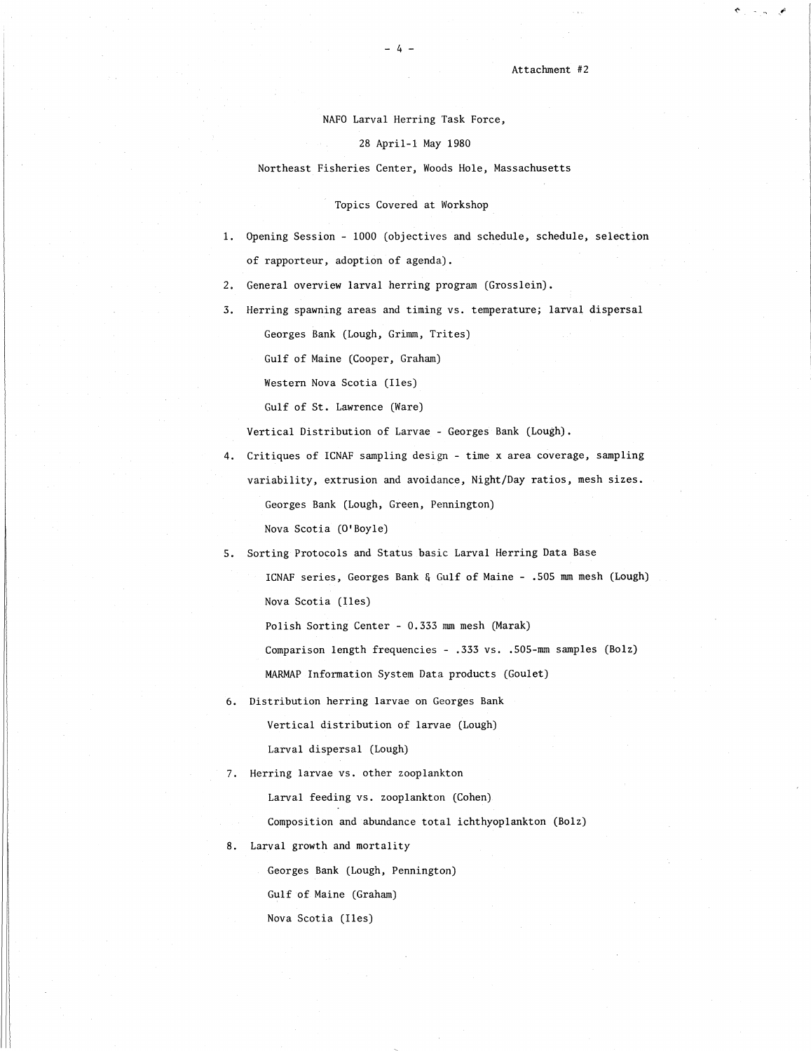NAFO Larval Herring Task Force,

### 28 April-1 May 1980

# Northeast Fisheries Center, Woods Hole, Massachusetts

## Topics Covered at Workshop

- Opening Session 1000 (objectives and schedule, schedule, selection of rapporteur, adoption of agenda).
- 2. General overview larval herring program (Grosslein).
- 3. Herring spawning areas and timing vs. temperature; larval dispersal Georges Bank (Lough, Grimm, Trites)

Gulf of Maine (Cooper, Graham)

Western Nova Scotia (Iles)

Gulf of St. Lawrence (Ware)

Vertical Distribution of Larvae - Georges Bank (Lough).

- Critiques of ICNAF sampling design time x area coverage, sampling
	- variability, extrusion and avoidance, Night/Day ratios, mesh sizes.

Georges Bank (Lough, Green, Pennington)

Nova Scotia (O'Boyle)

Sorting Protocols and Status basic Larval Herring Data Base

ICNAF series, Georges Bank & Gulf of Maine - .505 mm mesh (Lough) Nova Scotia (Iles)

Polish Sorting Center - 0.333 mm mesh (Marak)

Comparison length frequencies - .333 vs. .505-mm samples (Bolz)

MARMAP Information System Data products (Goulet)

6. Distribution herring larvae on Georges Bank Vertical distribution of larvae (Lough)

Larval dispersal (Lough)

7. Herring larvae vs. other zooplankton

Larval feeding vs. zooplankton (Cohen)

Composition and abundance total ichthyoplankton (Bolz)

8. Larval growth and mortality

Georges Bank (Lough, Pennington)

Gulf of Maine (Graham)

Nova Scotia (Iles)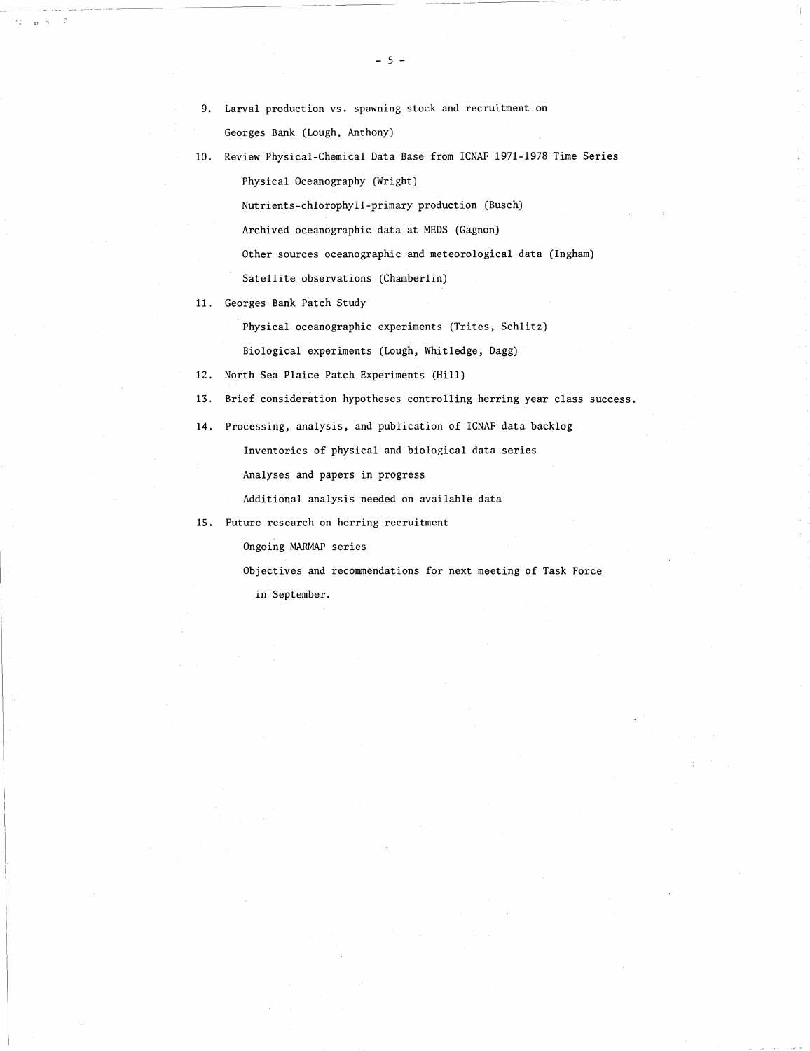Georges Bank (Lough, Anthony)

10. Review Physical-Chemical Data Base from ICNAF 1971-1978 Time Series

Physical Oceanography (Wright)

Nutrients-chlorophyll-primary production (Busch)

Archived oceanographic data at MEDS (Gagnon)

Other sources oceanographic and meteorological data (Ingham)

Satellite observations (Chamberlin)

11. Georges Bank Patch Study

Physical oceanographic experiments (Trites, Schlitz)

Biological experiments (Lough, Whitledge, Dagg)

- 12. North Sea Plaice Patch Experiments (Hill)
- Brief consideration hypotheses controlling herring year class success. 13.
- 14. Processing, analysis, and publication of ICNAF data backlog

Inventories of physical and biological data series

Analyses and papers in progress

Additional analysis needed on available data

15. Future research on herring recruitment

Ongoing MARMAP series

Objectives and recommendations for next meeting of Task Force

in September.